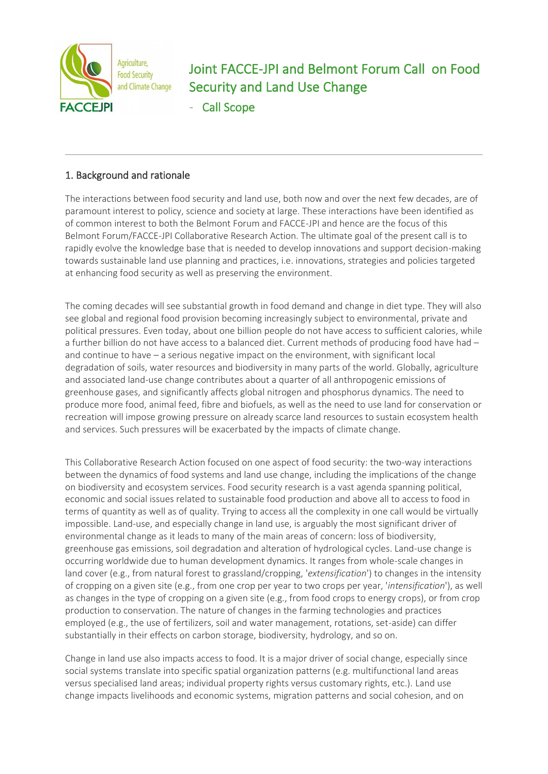

# Joint FACCE-JPI and Belmont Forum Call on Food Security and Land Use Change

Call Scope

## 1. Background and rationale

The interactions between food security and land use, both now and over the next few decades, are of paramount interest to policy, science and society at large. These interactions have been identified as of common interest to both the Belmont Forum and FACCE-JPI and hence are the focus of this Belmont Forum/FACCE-JPI Collaborative Research Action. The ultimate goal of the present call is to rapidly evolve the knowledge base that is needed to develop innovations and support decision-making towards sustainable land use planning and practices, i.e. innovations, strategies and policies targeted at enhancing food security as well as preserving the environment.

The coming decades will see substantial growth in food demand and change in diet type. They will also see global and regional food provision becoming increasingly subject to environmental, private and political pressures. Even today, about one billion people do not have access to sufficient calories, while a further billion do not have access to a balanced diet. Current methods of producing food have had – and continue to have – a serious negative impact on the environment, with significant local degradation of soils, water resources and biodiversity in many parts of the world. Globally, agriculture and associated land-use change contributes about a quarter of all anthropogenic emissions of greenhouse gases, and significantly affects global nitrogen and phosphorus dynamics. The need to produce more food, animal feed, fibre and biofuels, as well as the need to use land for conservation or recreation will impose growing pressure on already scarce land resources to sustain ecosystem health and services. Such pressures will be exacerbated by the impacts of climate change.

This Collaborative Research Action focused on one aspect of food security: the two-way interactions between the dynamics of food systems and land use change, including the implications of the change on biodiversity and ecosystem services. Food security research is a vast agenda spanning political, economic and social issues related to sustainable food production and above all to access to food in terms of quantity as well as of quality. Trying to access all the complexity in one call would be virtually impossible. Land-use, and especially change in land use, is arguably the most significant driver of environmental change as it leads to many of the main areas of concern: loss of biodiversity, greenhouse gas emissions, soil degradation and alteration of hydrological cycles. Land-use change is occurring worldwide due to human development dynamics. It ranges from whole-scale changes in land cover (e.g., from natural forest to grassland/cropping, '*extensification*') to changes in the intensity of cropping on a given site (e.g., from one crop per year to two crops per year, '*intensification*'), as well as changes in the type of cropping on a given site (e.g., from food crops to energy crops), or from crop production to conservation. The nature of changes in the farming technologies and practices employed (e.g., the use of fertilizers, soil and water management, rotations, set-aside) can differ substantially in their effects on carbon storage, biodiversity, hydrology, and so on.

Change in land use also impacts access to food. It is a major driver of social change, especially since social systems translate into specific spatial organization patterns (e.g. multifunctional land areas versus specialised land areas; individual property rights versus customary rights, etc.). Land use change impacts livelihoods and economic systems, migration patterns and social cohesion, and on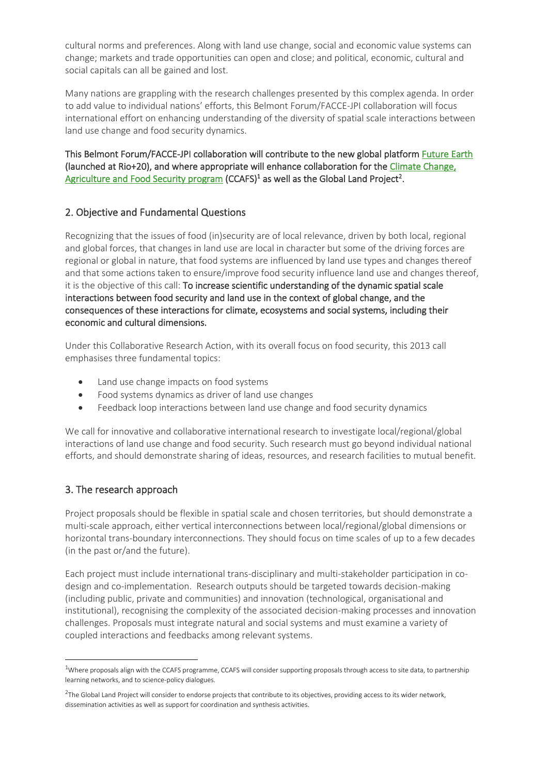cultural norms and preferences. Along with land use change, social and economic value systems can change; markets and trade opportunities can open and close; and political, economic, cultural and social capitals can all be gained and lost.

Many nations are grappling with the research challenges presented by this complex agenda. In order to add value to individual nations' efforts, this Belmont Forum/FACCE-JPI collaboration will focus international effort on enhancing understanding of the diversity of spatial scale interactions between land use change and food security dynamics.

This Belmont Forum/FACCE-JPI collaboration will contribute to the new global platform [Future Earth](https://futureearth.org/)  (launched at Rio+20), and where appropriate will enhance collaboration for th[e Climate Change,](https://ccafs.cgiar.org/)  [Agriculture and Food Security program \(](https://ccafs.cgiar.org/)CCAFS)<sup>1</sup> as well as the Global Land Project<sup>2</sup>.

### 2. Objective and Fundamental Questions

Recognizing that the issues of food (in)security are of local relevance, driven by both local, regional and global forces, that changes in land use are local in character but some of the driving forces are regional or global in nature, that food systems are influenced by land use types and changes thereof and that some actions taken to ensure/improve food security influence land use and changes thereof, it is the objective of this call: To increase scientific understanding of the dynamic spatial scale interactions between food security and land use in the context of global change, and the consequences of these interactions for climate, ecosystems and social systems, including their economic and cultural dimensions.

Under this Collaborative Research Action, with its overall focus on food security, this 2013 call emphasises three fundamental topics:

- Land use change impacts on food systems
- Food systems dynamics as driver of land use changes
- Feedback loop interactions between land use change and food security dynamics

We call for innovative and collaborative international research to investigate local/regional/global interactions of land use change and food security. Such research must go beyond individual national efforts, and should demonstrate sharing of ideas, resources, and research facilities to mutual benefit.

## 3. The research approach

Project proposals should be flexible in spatial scale and chosen territories, but should demonstrate a multi-scale approach, either vertical interconnections between local/regional/global dimensions or horizontal trans-boundary interconnections. They should focus on time scales of up to a few decades (in the past or/and the future).

Each project must include international trans-disciplinary and multi-stakeholder participation in codesign and co-implementation. Research outputs should be targeted towards decision-making (including public, private and communities) and innovation (technological, organisational and institutional), recognising the complexity of the associated decision-making processes and innovation challenges. Proposals must integrate natural and social systems and must examine a variety of coupled interactions and feedbacks among relevant systems.

 $1$ Where proposals align with the CCAFS programme, CCAFS will consider supporting proposals through access to site data, to partnership learning networks, and to science-policy dialogues.

 $^{2}$ The Global Land Project will consider to endorse projects that contribute to its objectives, providing access to its wider network, dissemination activities as well as support for coordination and synthesis activities.